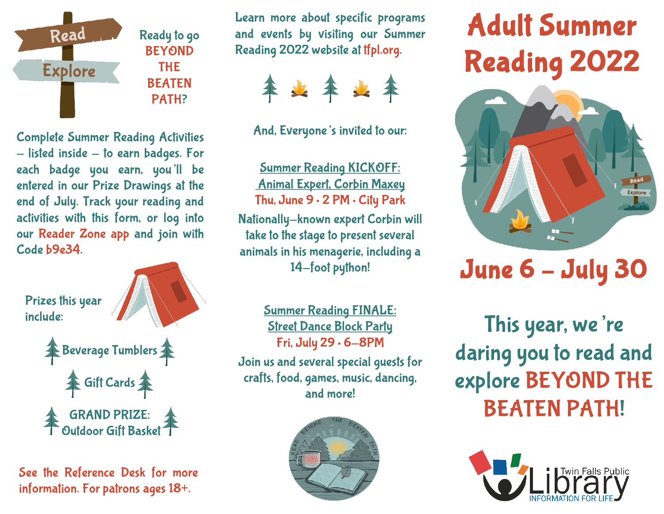

Ready to go BEYOND THE BEATEN PATH?

Learn more about specific programs and events by visiting our Summer Reading 2022 website at tfpl.org.



And, Everyone's invited to our:

Complete Summer Reading Activities  $-$  listed inside  $-$  to earn badges. For each badge you earn, you'll be entered in our Prize Drawings at the end of July. Track your reading and activities with this form, or log into our Reader Zone app and join with Code b9e34.



See the Reference Desk for more information. For patrons ages 18+.

Summer Reading KICKOFF: Animal Expert, Corbin Maxey Thu, June 9 • 2 PM • City Park Nationally-known expert Corbin will take to the stage to present several animals in his menagerie, including a 14-foot python!

Summer Reading FINALE: Street Dance Block Party Fri, July 29 • 6-8PM Join us and several special guests for crafts, food, games, music, dancing, and more!



# Adult Summer Reading 2022



# June 6 – July 30

This year, we're daring you to read and explore BEYOND THE BEATEN PATH!